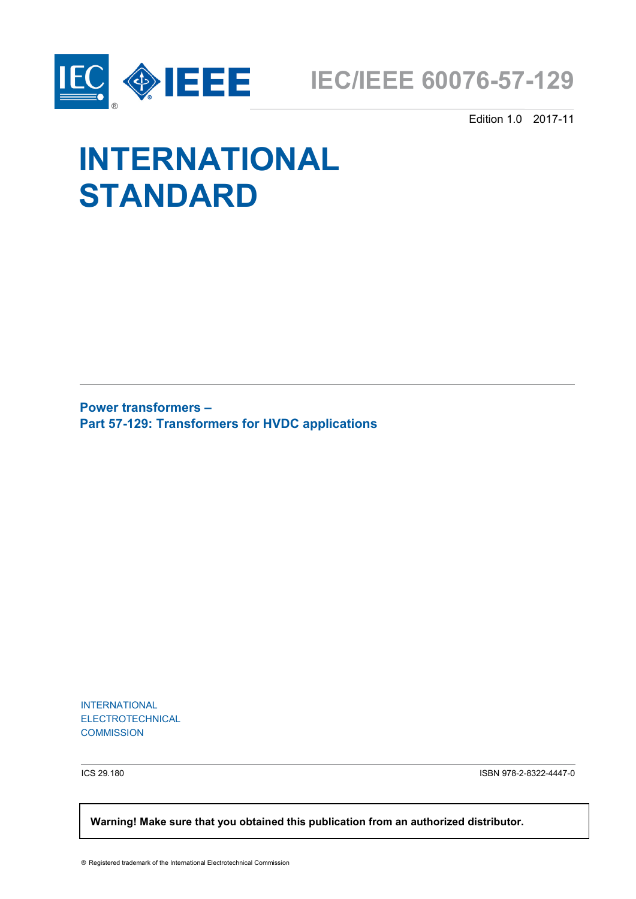



Edition 1.0 2017-11

# **INTERNATIONAL STANDARD**

**Power transformers – Part 57-129: Transformers for HVDC applications**

INTERNATIONAL ELECTROTECHNICAL **COMMISSION** 

ICS 29.180 ISBN 978-2-8322-4447-0

 **Warning! Make sure that you obtained this publication from an authorized distributor.**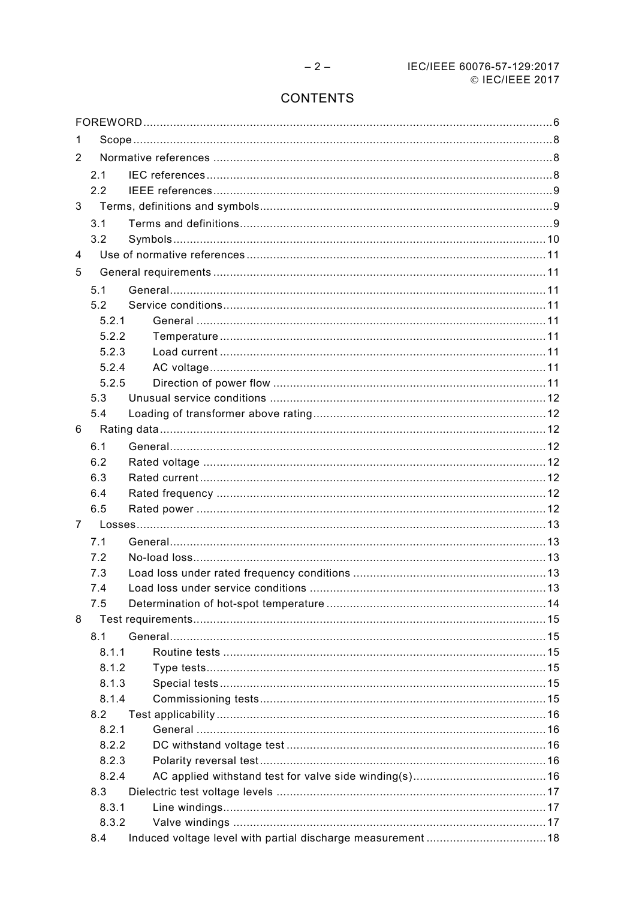# **CONTENTS**

| 1              |       |  |  |  |
|----------------|-------|--|--|--|
| 2              |       |  |  |  |
|                | 2.1   |  |  |  |
|                | 2.2   |  |  |  |
| 3              |       |  |  |  |
|                | 3.1   |  |  |  |
|                | 3.2   |  |  |  |
| 4              |       |  |  |  |
| 5              |       |  |  |  |
|                | 5.1   |  |  |  |
|                | 5.2   |  |  |  |
|                | 5.2.1 |  |  |  |
|                | 5.2.2 |  |  |  |
|                | 5.2.3 |  |  |  |
|                | 5.2.4 |  |  |  |
|                | 5.2.5 |  |  |  |
|                | 5.3   |  |  |  |
|                | 5.4   |  |  |  |
| 6              |       |  |  |  |
|                | 6.1   |  |  |  |
|                | 6.2   |  |  |  |
|                | 6.3   |  |  |  |
|                | 6.4   |  |  |  |
|                | 6.5   |  |  |  |
| $\overline{7}$ |       |  |  |  |
|                | 7.1   |  |  |  |
|                | 7.2   |  |  |  |
|                | 7.3   |  |  |  |
|                | 7.4   |  |  |  |
|                | 7.5   |  |  |  |
| 8              |       |  |  |  |
|                | 8.1   |  |  |  |
|                | 8.1.1 |  |  |  |
|                | 8.1.2 |  |  |  |
|                | 8.1.3 |  |  |  |
|                | 8.1.4 |  |  |  |
|                | 8.2   |  |  |  |
|                | 8.2.1 |  |  |  |
|                | 8.2.2 |  |  |  |
|                | 8.2.3 |  |  |  |
|                | 8.2.4 |  |  |  |
|                | 8.3   |  |  |  |
|                | 8.3.1 |  |  |  |
|                | 8.3.2 |  |  |  |
|                | 8.4   |  |  |  |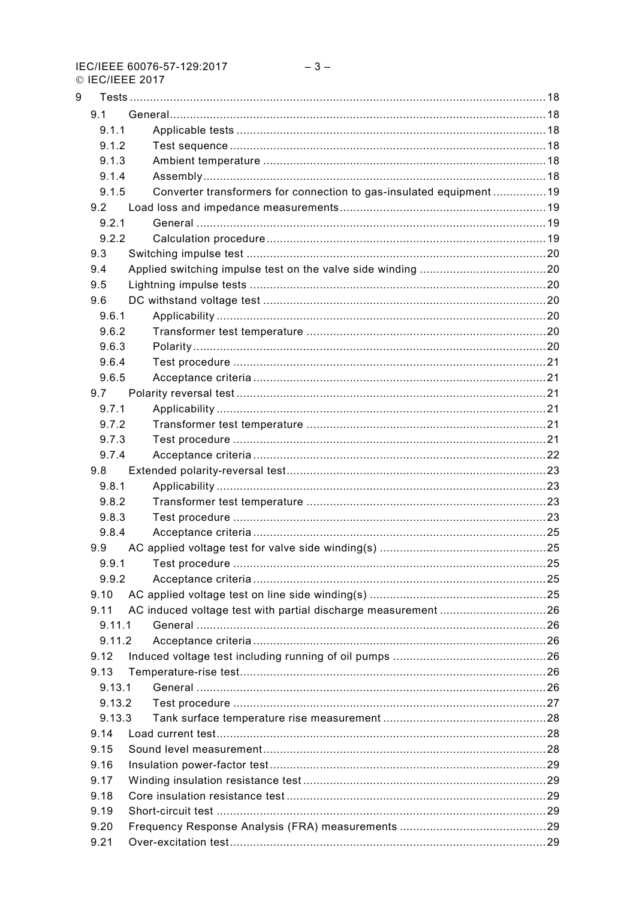IEC/IEEE 60076-57-129:2017 © IFC/IFFF 2017

| 9 |        |                                                                    |  |
|---|--------|--------------------------------------------------------------------|--|
|   | 9.1    |                                                                    |  |
|   | 9.1.1  |                                                                    |  |
|   | 9.1.2  |                                                                    |  |
|   | 9.1.3  |                                                                    |  |
|   | 9.1.4  |                                                                    |  |
|   | 9.1.5  | Converter transformers for connection to gas-insulated equipment19 |  |
|   | 9.2    |                                                                    |  |
|   | 9.2.1  |                                                                    |  |
|   | 9.2.2  |                                                                    |  |
|   | 9.3    |                                                                    |  |
|   | 9.4    |                                                                    |  |
|   | 9.5    |                                                                    |  |
|   | 9.6    |                                                                    |  |
|   | 9.6.1  |                                                                    |  |
|   | 9.6.2  |                                                                    |  |
|   |        |                                                                    |  |
|   | 9.6.3  |                                                                    |  |
|   | 9.6.4  |                                                                    |  |
|   | 9.6.5  |                                                                    |  |
|   | 9.7    |                                                                    |  |
|   | 9.7.1  |                                                                    |  |
|   | 9.7.2  |                                                                    |  |
|   | 9.7.3  |                                                                    |  |
|   | 9.7.4  |                                                                    |  |
|   | 9.8    |                                                                    |  |
|   | 9.8.1  |                                                                    |  |
|   | 9.8.2  |                                                                    |  |
|   | 9.8.3  |                                                                    |  |
|   | 9.8.4  |                                                                    |  |
|   | 9.9    |                                                                    |  |
|   | 9.9.1  |                                                                    |  |
|   | 9.9.2  |                                                                    |  |
|   | 9.10   |                                                                    |  |
|   | 9.11   | AC induced voltage test with partial discharge measurement 26      |  |
|   | 9.11.1 |                                                                    |  |
|   | 9.11.2 |                                                                    |  |
|   | 9.12   |                                                                    |  |
|   | 9.13   |                                                                    |  |
|   | 9.13.1 |                                                                    |  |
|   | 9.13.2 |                                                                    |  |
|   | 9.13.3 |                                                                    |  |
|   | 9.14   |                                                                    |  |
|   | 9.15   |                                                                    |  |
|   | 9.16   |                                                                    |  |
|   | 9.17   |                                                                    |  |
|   | 9.18   |                                                                    |  |
|   | 9.19   |                                                                    |  |
|   |        |                                                                    |  |
|   | 9.20   |                                                                    |  |
|   | 9.21   |                                                                    |  |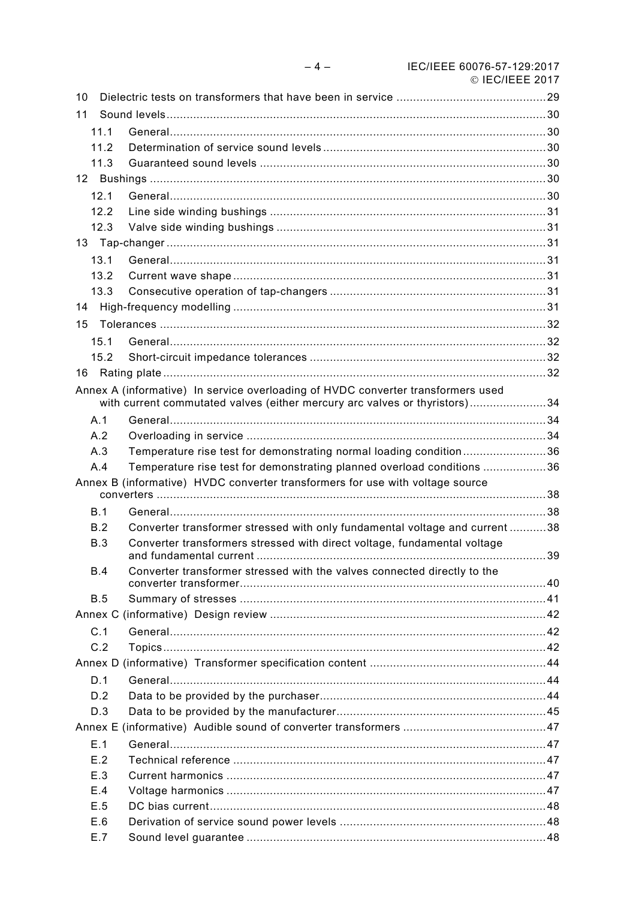|    |      |                                                                                                                                                                | $\circ$ IEG/IEEE 2017 |
|----|------|----------------------------------------------------------------------------------------------------------------------------------------------------------------|-----------------------|
| 10 |      |                                                                                                                                                                |                       |
| 11 |      |                                                                                                                                                                |                       |
|    | 11.1 |                                                                                                                                                                |                       |
|    | 11.2 |                                                                                                                                                                |                       |
|    | 11.3 |                                                                                                                                                                |                       |
|    |      |                                                                                                                                                                |                       |
|    | 12.1 |                                                                                                                                                                |                       |
|    | 12.2 |                                                                                                                                                                |                       |
|    | 12.3 |                                                                                                                                                                |                       |
|    |      |                                                                                                                                                                |                       |
|    | 13.1 |                                                                                                                                                                |                       |
|    | 13.2 |                                                                                                                                                                |                       |
|    | 13.3 |                                                                                                                                                                |                       |
| 14 |      |                                                                                                                                                                |                       |
| 15 |      |                                                                                                                                                                |                       |
|    | 15.1 |                                                                                                                                                                |                       |
|    | 15.2 |                                                                                                                                                                |                       |
| 16 |      |                                                                                                                                                                |                       |
|    |      | Annex A (informative) In service overloading of HVDC converter transformers used<br>with current commutated valves (either mercury arc valves or thyristors)34 |                       |
|    | A.1  |                                                                                                                                                                |                       |
|    | A.2  |                                                                                                                                                                |                       |
|    | A.3  | Temperature rise test for demonstrating normal loading condition36                                                                                             |                       |
|    | A.4  | Temperature rise test for demonstrating planned overload conditions 36                                                                                         |                       |
|    |      | Annex B (informative) HVDC converter transformers for use with voltage source                                                                                  |                       |
|    | B.1  |                                                                                                                                                                |                       |
|    | B.2  | Converter transformer stressed with only fundamental voltage and current 38                                                                                    |                       |
|    | B.3  | Converter transformers stressed with direct voltage, fundamental voltage<br>and fundamental current                                                            | 39                    |
|    | B.4  | Converter transformer stressed with the valves connected directly to the                                                                                       |                       |
|    | B.5  |                                                                                                                                                                |                       |
|    |      |                                                                                                                                                                |                       |
|    | C.1  |                                                                                                                                                                |                       |
|    | C.2  |                                                                                                                                                                |                       |
|    |      |                                                                                                                                                                |                       |
|    | D.1  |                                                                                                                                                                |                       |
|    | D.2  |                                                                                                                                                                |                       |
|    | D.3  |                                                                                                                                                                |                       |
|    |      |                                                                                                                                                                |                       |
|    | E.1  |                                                                                                                                                                |                       |
|    | E.2  |                                                                                                                                                                |                       |
|    | E.3  |                                                                                                                                                                |                       |
|    | E.4  |                                                                                                                                                                |                       |
|    | E.5  |                                                                                                                                                                |                       |
|    | E.6  |                                                                                                                                                                |                       |
|    | E.7  |                                                                                                                                                                |                       |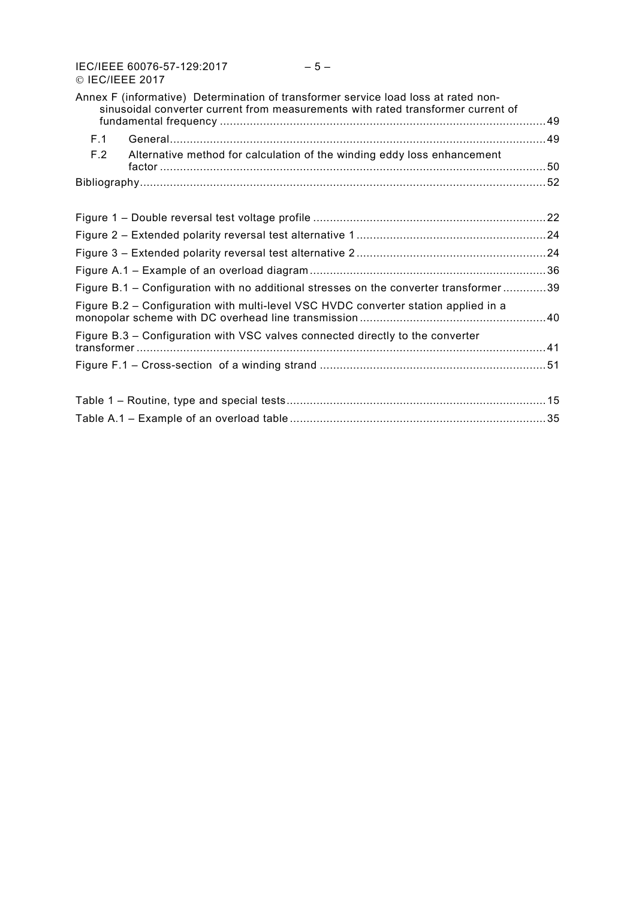IEC/IEEE 60076-57-129:2017 – 5 – © IEC/IEEE 2017

|     | Annex F (informative) Determination of transformer service load loss at rated non-<br>sinusoidal converter current from measurements with rated transformer current of |  |
|-----|------------------------------------------------------------------------------------------------------------------------------------------------------------------------|--|
| F.1 |                                                                                                                                                                        |  |
| F.2 | Alternative method for calculation of the winding eddy loss enhancement                                                                                                |  |
|     |                                                                                                                                                                        |  |
|     |                                                                                                                                                                        |  |
|     |                                                                                                                                                                        |  |
|     |                                                                                                                                                                        |  |
|     |                                                                                                                                                                        |  |
|     |                                                                                                                                                                        |  |
|     | Figure B.1 – Configuration with no additional stresses on the converter transformer39                                                                                  |  |
|     | Figure B.2 – Configuration with multi-level VSC HVDC converter station applied in a                                                                                    |  |
|     | Figure B.3 – Configuration with VSC valves connected directly to the converter                                                                                         |  |
|     |                                                                                                                                                                        |  |
|     |                                                                                                                                                                        |  |
|     |                                                                                                                                                                        |  |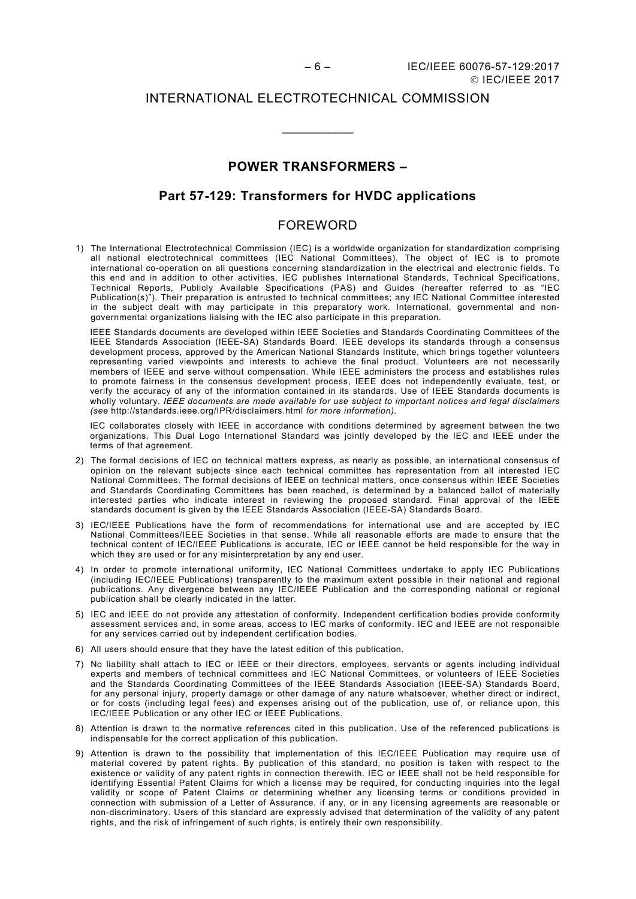## INTERNATIONAL ELECTROTECHNICAL COMMISSION

\_\_\_\_\_\_\_\_\_\_\_\_

# **POWER TRANSFORMERS –**

# **Part 57-129: Transformers for HVDC applications**

# FOREWORD

<span id="page-5-0"></span>1) The International Electrotechnical Commission (IEC) is a worldwide organization for standardization comprising all national electrotechnical committees (IEC National Committees). The object of IEC is to promote international co-operation on all questions concerning standardization in the electrical and electronic fields. To this end and in addition to other activities, IEC publishes International Standards, Technical Specifications, Technical Reports, Publicly Available Specifications (PAS) and Guides (hereafter referred to as "IEC Publication(s)"). Their preparation is entrusted to technical committees; any IEC National Committee interested in the subject dealt with may participate in this preparatory work. International, governmental and nongovernmental organizations liaising with the IEC also participate in this preparation.

IEEE Standards documents are developed within IEEE Societies and Standards Coordinating Committees of the IEEE Standards Association (IEEE-SA) Standards Board. IEEE develops its standards through a consensus development process, approved by the American National Standards Institute, which brings together volunteers representing varied viewpoints and interests to achieve the final product. Volunteers are not necessarily members of IEEE and serve without compensation. While IEEE administers the process and establishes rules to promote fairness in the consensus development process, IEEE does not independently evaluate, test, or verify the accuracy of any of the information contained in its standards. Use of IEEE Standards documents is wholly voluntary. *IEEE documents are made available for use subject to important notices and legal disclaimers (see* <http://standards.ieee.org/IPR/disclaimers.html> *for more information).*

IEC collaborates closely with IEEE in accordance with conditions determined by agreement between the two organizations. This Dual Logo International Standard was jointly developed by the IEC and IEEE under the terms of that agreement.

- 2) The formal decisions of IEC on technical matters express, as nearly as possible, an international consensus of opinion on the relevant subjects since each technical committee has representation from all interested IEC National Committees. The formal decisions of IEEE on technical matters, once consensus within IEEE Societies and Standards Coordinating Committees has been reached, is determined by a balanced ballot of materially interested parties who indicate interest in reviewing the proposed standard. Final approval of the IEEE standards document is given by the IEEE Standards Association (IEEE-SA) Standards Board.
- 3) IEC/IEEE Publications have the form of recommendations for international use and are accepted by IEC National Committees/IEEE Societies in that sense. While all reasonable efforts are made to ensure that the technical content of IEC/IEEE Publications is accurate, IEC or IEEE cannot be held responsible for the way in which they are used or for any misinterpretation by any end user.
- 4) In order to promote international uniformity, IEC National Committees undertake to apply IEC Publications (including IEC/IEEE Publications) transparently to the maximum extent possible in their national and regional publications. Any divergence between any IEC/IEEE Publication and the corresponding national or regional publication shall be clearly indicated in the latter.
- 5) IEC and IEEE do not provide any attestation of conformity. Independent certification bodies provide conformity assessment services and, in some areas, access to IEC marks of conformity. IEC and IEEE are not responsible for any services carried out by independent certification bodies.
- 6) All users should ensure that they have the latest edition of this publication.
- 7) No liability shall attach to IEC or IEEE or their directors, employees, servants or agents including individual experts and members of technical committees and IEC National Committees, or volunteers of IEEE Societies and the Standards Coordinating Committees of the IEEE Standards Association (IEEE-SA) Standards Board, for any personal injury, property damage or other damage of any nature whatsoever, whether direct or indirect, or for costs (including legal fees) and expenses arising out of the publication, use of, or reliance upon, this IEC/IEEE Publication or any other IEC or IEEE Publications.
- 8) Attention is drawn to the normative references cited in this publication. Use of the referenced publications is indispensable for the correct application of this publication.
- 9) Attention is drawn to the possibility that implementation of this IEC/IEEE Publication may require use of material covered by patent rights. By publication of this standard, no position is taken with respect to the existence or validity of any patent rights in connection therewith. IEC or IEEE shall not be held responsible for identifying Essential Patent Claims for which a license may be required, for conducting inquiries into the legal validity or scope of Patent Claims or determining whether any licensing terms or conditions provided in connection with submission of a Letter of Assurance, if any, or in any licensing agreements are reasonable or non-discriminatory. Users of this standard are expressly advised that determination of the validity of any patent rights, and the risk of infringement of such rights, is entirely their own responsibility.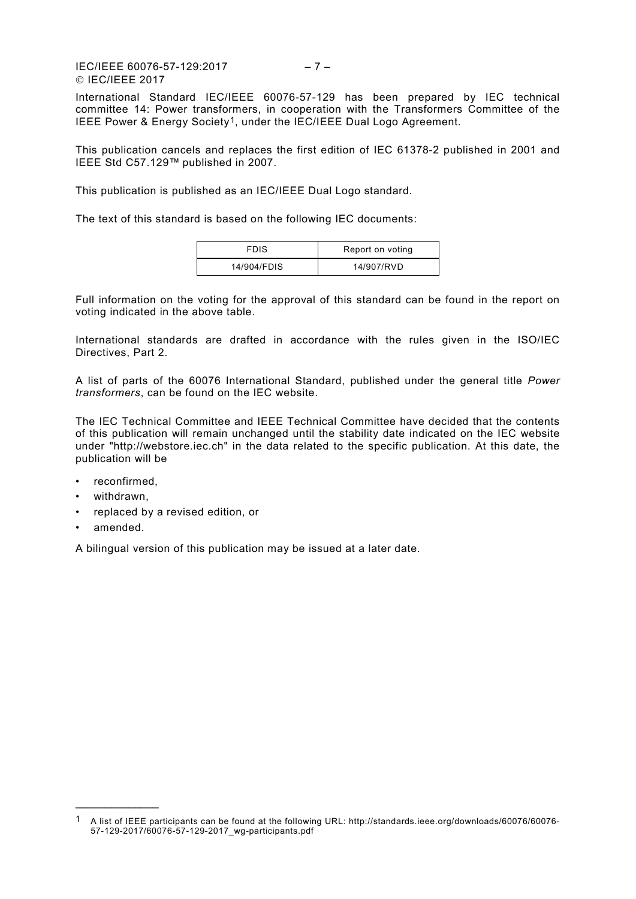IEC/IEEE 60076-57-129:2017 – 7 – IEC/IEEE 2017

International Standard IEC/IEEE 60076-57-129 has been prepared by IEC technical committee 14: Power transformers, in cooperation with the Transformers Committee of the IEEE Power & Energy Society[1,](#page-6-0) under the IEC/IEEE Dual Logo Agreement.

This publication cancels and replaces the first edition of IEC 61378-2 published in 2001 and IEEE Std C57.129™ published in 2007.

This publication is published as an IEC/IEEE Dual Logo standard.

The text of this standard is based on the following IEC documents:

| <b>FDIS</b> | Report on voting |
|-------------|------------------|
| 14/904/FDIS | 14/907/RVD       |

Full information on the voting for the approval of this standard can be found in the report on voting indicated in the above table.

International standards are drafted in accordance with the rules given in the ISO/IEC Directives, Part 2.

A list of parts of the 60076 International Standard, published under the general title *Power transformers*, can be found on the IEC website.

The IEC Technical Committee and IEEE Technical Committee have decided that the contents of this publication will remain unchanged until the stability date indicated on the IEC website under "http://webstore.iec.ch" in the data related to the specific publication. At this date, the publication will be

- reconfirmed,
- withdrawn,
- replaced by a revised edition, or
- amended.

\_\_\_\_\_\_\_\_\_\_\_\_\_\_

A bilingual version of this publication may be issued at a later date.

<span id="page-6-0"></span><sup>1</sup> A list of IEEE participants can be found at the following URL: http://standards.ieee.org/downloads/60076/60076- 57-129-2017/60076-57-129-2017\_wg-participants.pdf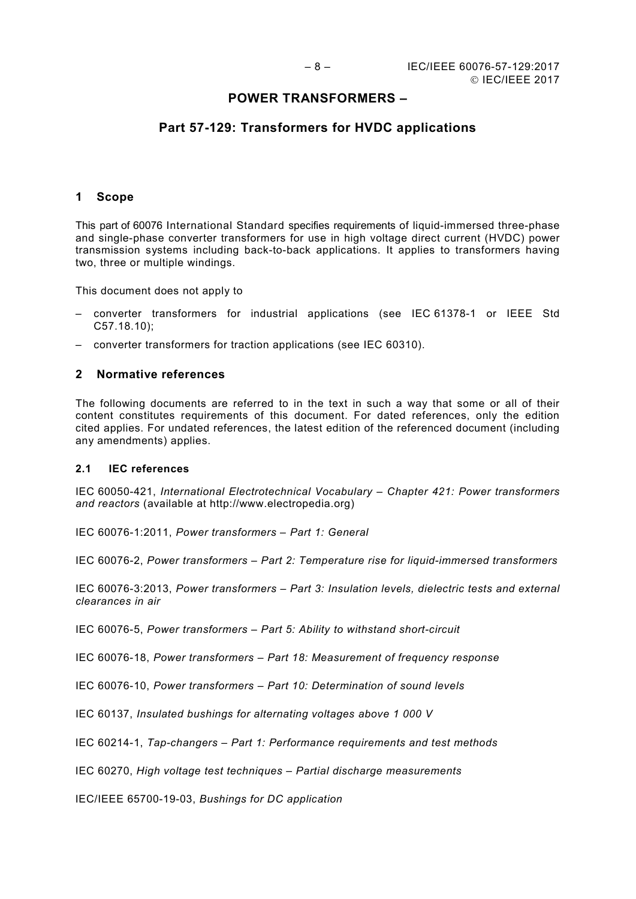# **POWER TRANSFORMERS –**

# **Part 57-129: Transformers for HVDC applications**

#### <span id="page-7-0"></span>**1 Scope**

This part of 60076 International Standard specifies requirements of liquid-immersed three-phase and single-phase converter transformers for use in high voltage direct current (HVDC) power transmission systems including back-to-back applications. It applies to transformers having two, three or multiple windings.

This document does not apply to

- converter transformers for industrial applications (see IEC 61378-1 or IEEE Std C57.18.10);
- converter transformers for traction applications (see IEC 60310).

## <span id="page-7-1"></span>**2 Normative references**

The following documents are referred to in the text in such a way that some or all of their content constitutes requirements of this document. For dated references, only the edition cited applies. For undated references, the latest edition of the referenced document (including any amendments) applies.

#### <span id="page-7-2"></span>**2.1 IEC references**

IEC 60050-421, *International Electrotechnical Vocabulary – Chapter 421: Power transformers and reactors* (available at http://www.electropedia.org)

IEC 60076-1:2011, *Power transformers – Part 1: General*

IEC 60076-2, *Power transformers – Part 2: Temperature rise for liquid-immersed transformers* 

IEC 60076-3:2013, *Power transformers – Part 3: Insulation levels, dielectric tests and external clearances in air* 

IEC 60076-5, *Power transformers – Part 5: Ability to withstand short-circuit* 

IEC 60076-18, *Power transformers – Part 18: Measurement of frequency response*

IEC 60076-10, *Power transformers – Part 10: Determination of sound levels*

IEC 60137, *Insulated bushings for alternating voltages above 1 000 V*

IEC 60214-1, *Tap-changers – Part 1: Performance requirements and test methods* 

IEC 60270, *High voltage test techniques – Partial discharge measurements* 

IEC/IEEE 65700-19-03, *Bushings for DC application*